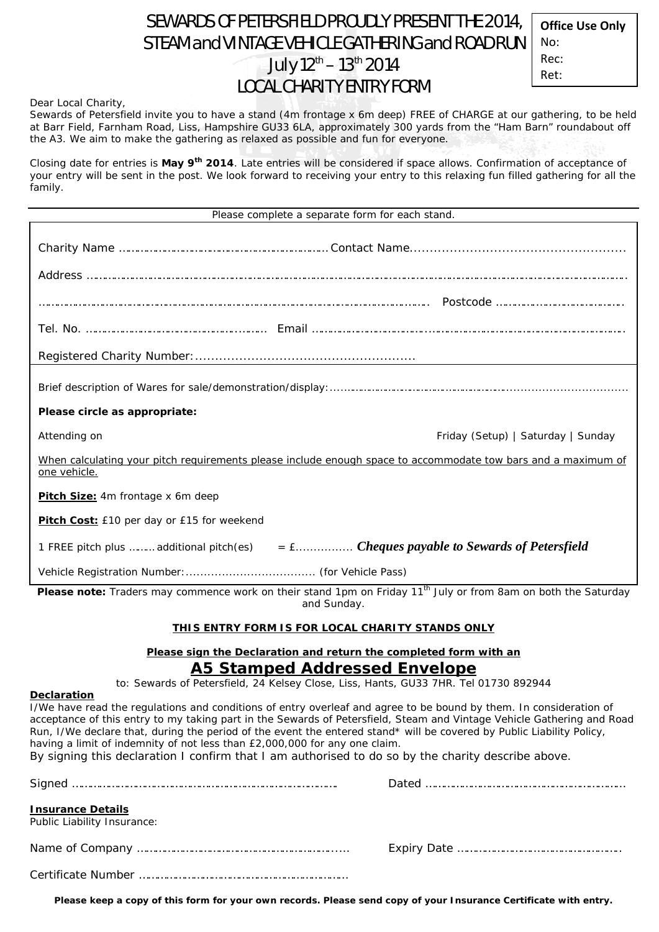# SEWARDS OF PETERSFIELD PROUDLY PRESENT THE 2014, STEAM and VINTAGE VEHICLE GATHERING and ROAD RUN July 12<sup>th</sup> – 13<sup>th</sup> 2014 LOCAL CHARITY ENTRY FORM

**Office Use Only** No: Rec: Ret:

Dear Local Charity,

Sewards of Petersfield invite you to have a stand (4m frontage x 6m deep) FREE of CHARGE at our gathering, to be held at Barr Field, Farnham Road, Liss, Hampshire GU33 6LA, approximately 300 yards from the "Ham Barn" roundabout off the A3. We aim to make the gathering as relaxed as possible and fun for everyone.

Closing date for entries is **May 9th 2014**. Late entries will be considered if space allows. Confirmation of acceptance of your entry will be sent in the post. We look forward to receiving your entry to this relaxing fun filled gathering for all the family.

| Please complete a separate form for each stand.                                                                                           |  |
|-------------------------------------------------------------------------------------------------------------------------------------------|--|
|                                                                                                                                           |  |
|                                                                                                                                           |  |
|                                                                                                                                           |  |
|                                                                                                                                           |  |
|                                                                                                                                           |  |
|                                                                                                                                           |  |
| Please circle as appropriate:                                                                                                             |  |
| Attending on<br>Friday (Setup)   Saturday   Sunday                                                                                        |  |
| When calculating your pitch requirements please include enough space to accommodate tow bars and a maximum of<br>one vehicle.             |  |
| Pitch Size: 4m frontage x 6m deep                                                                                                         |  |
| Pitch Cost: £10 per day or £15 for weekend                                                                                                |  |
| 1 FREE pitch plus  additional pitch(es) $=$ $\pounds$ Cheques payable to Sewards of Petersfield                                           |  |
|                                                                                                                                           |  |
| Please note: Traders may commence work on their stand 1pm on Friday 11 <sup>th</sup> July or from 8am on both the Saturday<br>and Sunday. |  |

#### **THIS ENTRY FORM IS FOR LOCAL CHARITY STANDS ONLY**

### **Please sign the Declaration and return the completed form with an**  *A5 Stamped Addressed Envelope*

to: Sewards of Petersfield, 24 Kelsey Close, Liss, Hants, GU33 7HR. Tel 01730 892944

#### **Declaration**

I/We have read the regulations and conditions of entry overleaf and agree to be bound by them. In consideration of acceptance of this entry to my taking part in the Sewards of Petersfield, Steam and Vintage Vehicle Gathering and Road Run, I/We declare that, during the period of the event the entered stand\* will be covered by Public Liability Policy, having a limit of indemnity of not less than £2,000,000 for any one claim.

By signing this declaration I confirm that I am authorised to do so by the charity describe above.

| <b>Insurance Details</b><br>Public Liability Insurance: |  |
|---------------------------------------------------------|--|
|                                                         |  |
|                                                         |  |

**Please keep a copy of this form for your own records. Please send copy of your Insurance Certificate with entry.**